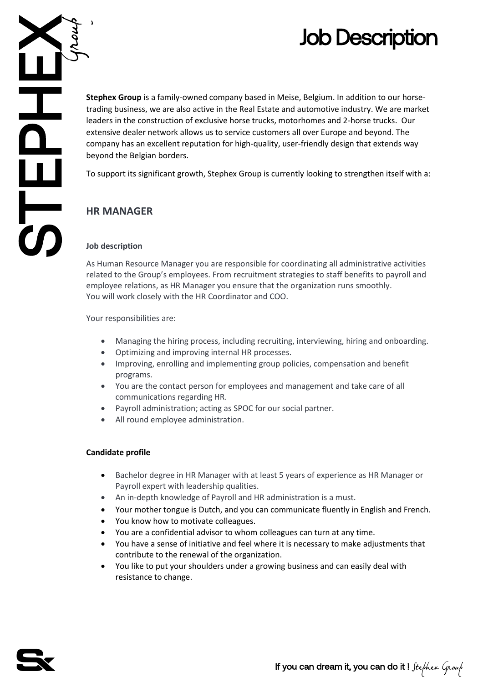Job Description<br>
Stephex Group is a family-owned company based in Meise, Belgium. In addition to our horse-<br>
trading business, we are also active in the Real Estate and automotive industry. We are market<br>
leaders in the co **Stephex Group** is a family-owned company based in Meise, Belgium. In addition to our horsetrading business, we are also active in the Real Estate and automotive industry. We are market leaders in the construction of exclusive horse trucks, motorhomes and 2-horse trucks. Our extensive dealer network allows us to service customers all over Europe and beyond. The company has an excellent reputation for high-quality, user-friendly design that extends way beyond the Belgian borders.

To support its significant growth, Stephex Group is currently looking to strengthen itself with a:

# **HR MANAGER**

## **Job description**

As Human Resource Manager you are responsible for coordinating all administrative activities related to the Group's employees. From recruitment strategies to staff benefits to payroll and employee relations, as HR Manager you ensure that the organization runs smoothly. You will work closely with the HR Coordinator and COO.

Your responsibilities are:

- Managing the hiring process, including recruiting, interviewing, hiring and onboarding.
- Optimizing and improving internal HR processes.
- Improving, enrolling and implementing group policies, compensation and benefit programs.
- You are the contact person for employees and management and take care of all communications regarding HR.
- Payroll administration; acting as SPOC for our social partner.
- All round employee administration.

## **Candidate profile**

- Bachelor degree in HR Manager with at least 5 years of experience as HR Manager or Payroll expert with leadership qualities.
- An in-depth knowledge of Payroll and HR administration is a must.
- Your mother tongue is Dutch, and you can communicate fluently in English and French.
- You know how to motivate colleagues.
- You are a confidential advisor to whom colleagues can turn at any time.
- You have a sense of initiative and feel where it is necessary to make adjustments that contribute to the renewal of the organization.
- You like to put your shoulders under a growing business and can easily deal with resistance to change.